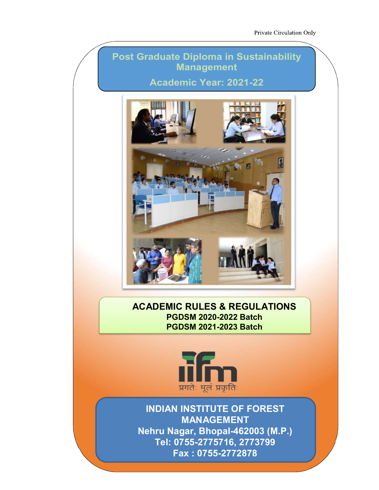## Post Graduate Diploma in Sustainability Management

Academic Year: 2021-22



ACADEMIC RULES & REGULATIONS PGDSM 2020-2022 Batch PGDSM 2021-2023 Batch



INDIAN INSTITUTE OF FOREST MANAGEMENT Nehru Nagar, Bhopal-462003 (M.P.) Tel: 0755-2775716, 2773799 Fax : 0755-2772878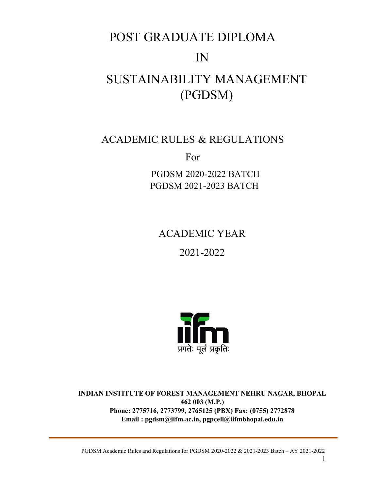# POST GRADUATE DIPLOMA

## IN

## SUSTAINABILITY MANAGEMENT (PGDSM)

## ACADEMIC RULES & REGULATIONS

For

PGDSM 2020-2022 BATCH PGDSM 2021-2023 BATCH

ACADEMIC YEAR

2021-2022



INDIAN INSTITUTE OF FOREST MANAGEMENT NEHRU NAGAR, BHOPAL 462 003 (M.P.) Phone: 2775716, 2773799, 2765125 (PBX) Fax: (0755) 2772878 Email : pgdsm@iifm.ac.in, pgpcell@iifmbhopal.edu.in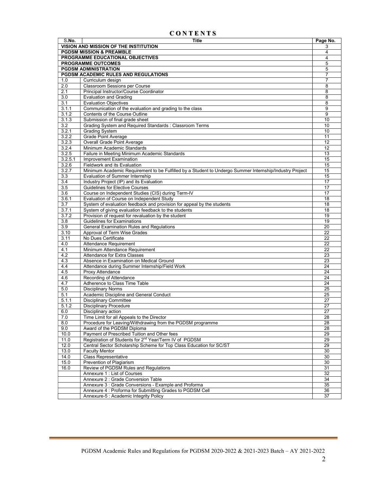## C O N T E N T S

| S.No.            | <b>Title</b>                                                                                            | Page No.        |  |  |  |  |  |  |
|------------------|---------------------------------------------------------------------------------------------------------|-----------------|--|--|--|--|--|--|
|                  | VISION AND MISSION OF THE INSTITUTION                                                                   | 3               |  |  |  |  |  |  |
|                  | <b>PGDSM MISSION &amp; PREAMBLE</b>                                                                     |                 |  |  |  |  |  |  |
|                  | PROGRAMME EDUCATIONAL OBJECTIVES                                                                        |                 |  |  |  |  |  |  |
|                  | <b>PROGRAMME OUTCOMES</b>                                                                               | 5               |  |  |  |  |  |  |
|                  | <b>PGDSM ADMINISTRATION</b>                                                                             | 5               |  |  |  |  |  |  |
|                  | PGDSM ACADEMIC RULES AND REGULATIONS                                                                    | $\overline{7}$  |  |  |  |  |  |  |
| 1.0              | Curriculum design                                                                                       | 7               |  |  |  |  |  |  |
| 2.0              | <b>Classroom Sessions per Course</b>                                                                    | 8               |  |  |  |  |  |  |
| 2.1              | Principal Instructor/Course Coordinator                                                                 | 8               |  |  |  |  |  |  |
| 3.0              | <b>Evaluation and Grading</b>                                                                           | 8               |  |  |  |  |  |  |
| 3.1              | <b>Evaluation Objectives</b>                                                                            | 8               |  |  |  |  |  |  |
| 3.1.1            | Communication of the evaluation and grading to the class                                                | 9               |  |  |  |  |  |  |
| 3.1.2            | Contents of the Course Outline                                                                          | 9               |  |  |  |  |  |  |
| 3.1.3            | Submission of final grade sheet                                                                         | 10              |  |  |  |  |  |  |
| 3.2              | Grading System and Required Standards : Classroom Terms                                                 | 10              |  |  |  |  |  |  |
| 3.2.1            | <b>Grading System</b>                                                                                   | 10              |  |  |  |  |  |  |
| 3.2.2            | Grade Point Average                                                                                     | 11              |  |  |  |  |  |  |
| 3.2.3            | <b>Overall Grade Point Average</b>                                                                      | 12              |  |  |  |  |  |  |
| 3.2.4            | Minimum Academic Standards                                                                              | 12              |  |  |  |  |  |  |
| 3.2.5            | Failure in Meeting Minimum Academic Standards                                                           | 13              |  |  |  |  |  |  |
| 3.2.5.1          | <b>Improvement Examination</b>                                                                          | 15              |  |  |  |  |  |  |
| 3.2.6            | Fieldwork and its Evaluation                                                                            | 15              |  |  |  |  |  |  |
| 3.2.7            | Minimum Academic Requirement to be Fulfilled by a Student to Undergo Summer Internship/Industry Project | 15              |  |  |  |  |  |  |
| 3.3              | Evaluation of Summer Internship                                                                         | 15              |  |  |  |  |  |  |
| 3.4              | Industry Project (IP) and its Evaluation                                                                | 17              |  |  |  |  |  |  |
| $\overline{3.5}$ | <b>Guidelines for Elective Courses</b>                                                                  | 17              |  |  |  |  |  |  |
| 3.6              | Course on Independent Studies (CIS) during Term-IV                                                      | 17              |  |  |  |  |  |  |
| 3.6.1            | Evaluation of Course on Independent Study                                                               | 18              |  |  |  |  |  |  |
| 3.7              | System of evaluation feedback and provision for appeal by the students                                  | 18              |  |  |  |  |  |  |
| 3.7.1            | System of giving evaluation feedback to the students                                                    | 18              |  |  |  |  |  |  |
| 3.7.2            | Provision of request for revaluation by the student                                                     | 19              |  |  |  |  |  |  |
| $\overline{3.8}$ | <b>Guidelines for Examinations</b>                                                                      | 19              |  |  |  |  |  |  |
| 3.9              | General Examination Rules and Regulations                                                               | 20              |  |  |  |  |  |  |
| 3.10             | Approval of Term Wise Grades                                                                            | $\overline{22}$ |  |  |  |  |  |  |
| 3.11             | No Dues Certificate                                                                                     | 22              |  |  |  |  |  |  |
| 4.0              | Attendance Requirement                                                                                  | 22              |  |  |  |  |  |  |
| 4.1              | Minimum Attendance Requirement                                                                          | 22              |  |  |  |  |  |  |
| 4.2              | Attendance for Extra Classes                                                                            | 23              |  |  |  |  |  |  |
| 4.3              | Absence in Examination on Medical Ground                                                                | 23              |  |  |  |  |  |  |
| 4.4              | Attendance during Summer Internship/Field Work                                                          | 24              |  |  |  |  |  |  |
| 4.5<br>4.6       | Proxy Attendance<br>Recording of Attendance                                                             | 24<br>24        |  |  |  |  |  |  |
|                  | Adherence to Class Time Table                                                                           | 24              |  |  |  |  |  |  |
| 4.7<br>5.0       |                                                                                                         | 25              |  |  |  |  |  |  |
| 5.1              | <b>Disciplinary Norms</b><br>Academic Discipline and General Conduct                                    | 25              |  |  |  |  |  |  |
| 5.1.1            | <b>Disciplinary Committee</b>                                                                           | $\overline{27}$ |  |  |  |  |  |  |
| 5.1.2            | <b>Disciplinary Procedure</b>                                                                           | 27              |  |  |  |  |  |  |
| 6.0              | Disciplinary action                                                                                     | 27              |  |  |  |  |  |  |
| 7.0              | Time Limit for all Appeals to the Director                                                              | 28              |  |  |  |  |  |  |
| 8.0              | Procedure for Leaving/Withdrawing from the PGDSM programme                                              | $\overline{28}$ |  |  |  |  |  |  |
| 9.0              | Award of the PGDSM Diploma                                                                              | 28              |  |  |  |  |  |  |
| 10.0             | Payment of Prescribed Tuition and Other fees                                                            | 29              |  |  |  |  |  |  |
| 11.0             | Registration of Students for 2 <sup>nd</sup> Year/Term IV of PGDSM                                      | 29              |  |  |  |  |  |  |
| 12.0             | Central Sector Scholarship Scheme for Top Class Education for SC/ST                                     | 29              |  |  |  |  |  |  |
| 13.0             | <b>Faculty Mentor</b>                                                                                   | 30              |  |  |  |  |  |  |
| 14.0             | Class Representative                                                                                    | 30              |  |  |  |  |  |  |
| 15.0             | Prevention of Plagiarism                                                                                | 30              |  |  |  |  |  |  |
| 16.0             | Review of PGDSM Rules and Regulations                                                                   | 31              |  |  |  |  |  |  |
|                  | Annexure 1: List of Courses                                                                             | 32              |  |  |  |  |  |  |
|                  | Annexure 2 : Grade Conversion Table                                                                     | $\overline{34}$ |  |  |  |  |  |  |
|                  | Annexure 3 : Grade Conversions - Example and Proforma                                                   | $\overline{35}$ |  |  |  |  |  |  |
|                  | Annexure 4 : Proforma for Submitting Grades to PGDSM Cell                                               | 36              |  |  |  |  |  |  |
|                  | Annexure-5 : Academic Integrity Policy                                                                  | 37              |  |  |  |  |  |  |
|                  |                                                                                                         |                 |  |  |  |  |  |  |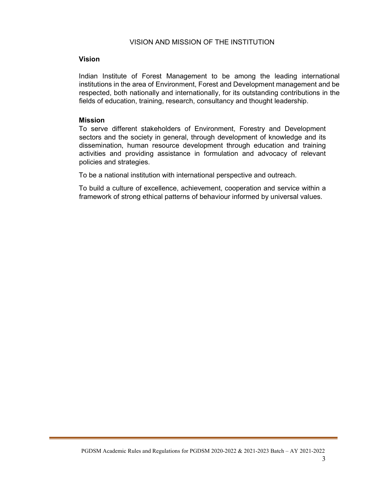#### VISION AND MISSION OF THE INSTITUTION

#### Vision

Indian Institute of Forest Management to be among the leading international institutions in the area of Environment, Forest and Development management and be respected, both nationally and internationally, for its outstanding contributions in the fields of education, training, research, consultancy and thought leadership.

#### Mission

To serve different stakeholders of Environment, Forestry and Development sectors and the society in general, through development of knowledge and its dissemination, human resource development through education and training activities and providing assistance in formulation and advocacy of relevant policies and strategies.

To be a national institution with international perspective and outreach.

To build a culture of excellence, achievement, cooperation and service within a framework of strong ethical patterns of behaviour informed by universal values.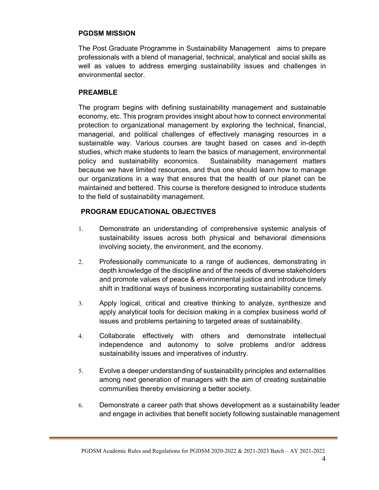## PGDSM MISSION

The Post Graduate Programme in Sustainability Management aims to prepare professionals with a blend of managerial, technical, analytical and social skills as well as values to address emerging sustainability issues and challenges in environmental sector.

## PREAMBLE

The program begins with defining sustainability management and sustainable economy, etc. This program provides insight about how to connect environmental protection to organizational management by exploring the technical, financial, managerial, and political challenges of effectively managing resources in a sustainable way. Various courses are taught based on cases and in-depth studies, which make students to learn the basics of management, environmental policy and sustainability economics. Sustainability management matters because we have limited resources, and thus one should learn how to manage our organizations in a way that ensures that the health of our planet can be maintained and bettered. This course is therefore designed to introduce students to the field of sustainability management.

## PROGRAM EDUCATIONAL OBJECTIVES

- 1. Demonstrate an understanding of comprehensive systemic analysis of sustainability issues across both physical and behavioral dimensions involving society, the environment, and the economy.
- 2. Professionally communicate to a range of audiences, demonstrating in depth knowledge of the discipline and of the needs of diverse stakeholders and promote values of peace & environmental justice and introduce timely shift in traditional ways of business incorporating sustainability concerns.
- 3. Apply logical, critical and creative thinking to analyze, synthesize and apply analytical tools for decision making in a complex business world of issues and problems pertaining to targeted areas of sustainability.
- 4. Collaborate effectively with others and demonstrate intellectual independence and autonomy to solve problems and/or address sustainability issues and imperatives of industry.
- 5. Evolve a deeper understanding of sustainability principles and externalities among next generation of managers with the aim of creating sustainable communities thereby envisioning a better society.
- 6. Demonstrate a career path that shows development as a sustainability leader and engage in activities that benefit society following sustainable management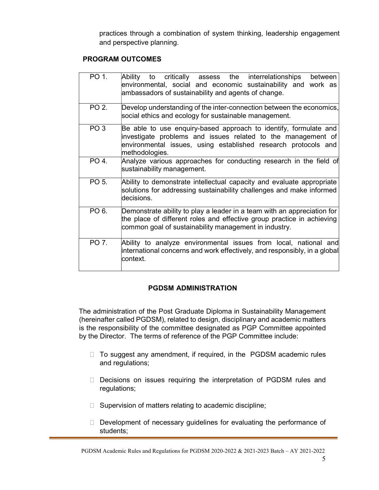practices through a combination of system thinking, leadership engagement and perspective planning.

## PROGRAM OUTCOMES

| PO 1.           | Ability to critically assess the interrelationships<br>between<br>environmental, social and economic sustainability and work as<br>ambassadors of sustainability and agents of change.                               |
|-----------------|----------------------------------------------------------------------------------------------------------------------------------------------------------------------------------------------------------------------|
| PO 2.           | Develop understanding of the inter-connection between the economics,<br>social ethics and ecology for sustainable management.                                                                                        |
| PO <sub>3</sub> | Be able to use enquiry-based approach to identify, formulate and<br>investigate problems and issues related to the management of<br>environmental issues, using established research protocols and<br>methodologies. |
| PO 4.           | Analyze various approaches for conducting research in the field of<br>sustainability management.                                                                                                                     |
| PO 5.           | Ability to demonstrate intellectual capacity and evaluate appropriate<br>solutions for addressing sustainability challenges and make informed<br>decisions.                                                          |
| PO 6.           | Demonstrate ability to play a leader in a team with an appreciation for<br>the place of different roles and effective group practice in achieving<br>common goal of sustainability management in industry.           |
| PO 7.           | Ability to analyze environmental issues from local, national and<br>international concerns and work effectively, and responsibly, in a global<br>context.                                                            |

## PGDSM ADMINISTRATION

The administration of the Post Graduate Diploma in Sustainability Management (hereinafter called PGDSM), related to design, disciplinary and academic matters is the responsibility of the committee designated as PGP Committee appointed by the Director. The terms of reference of the PGP Committee include:

- $\Box$  To suggest any amendment, if required, in the PGDSM academic rules and regulations;
- Decisions on issues requiring the interpretation of PGDSM rules and regulations;
- $\Box$  Supervision of matters relating to academic discipline;
- $\Box$  Development of necessary guidelines for evaluating the performance of students;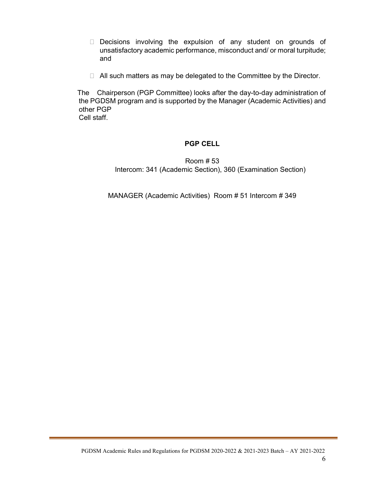- Decisions involving the expulsion of any student on grounds of unsatisfactory academic performance, misconduct and/ or moral turpitude; and
- $\Box$  All such matters as may be delegated to the Committee by the Director.

 The Chairperson (PGP Committee) looks after the day-to-day administration of the PGDSM program and is supported by the Manager (Academic Activities) and other PGP Cell staff.

## PGP CELL

Room # 53 Intercom: 341 (Academic Section), 360 (Examination Section)

MANAGER (Academic Activities) Room # 51 Intercom # 349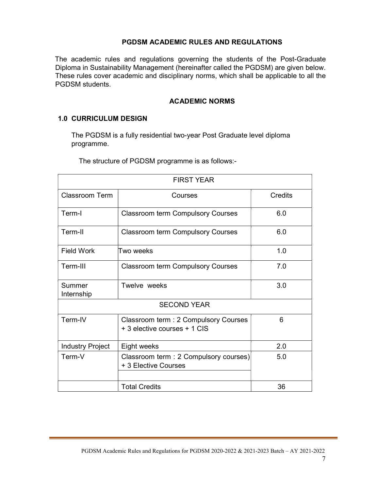## PGDSM ACADEMIC RULES AND REGULATIONS

The academic rules and regulations governing the students of the Post-Graduate Diploma in Sustainability Management (hereinafter called the PGDSM) are given below. These rules cover academic and disciplinary norms, which shall be applicable to all the PGDSM students.

## ACADEMIC NORMS

## 1.0 CURRICULUM DESIGN

The PGDSM is a fully residential two-year Post Graduate level diploma programme.

The structure of PGDSM programme is as follows:-

| <b>FIRST YEAR</b>       |                                                                       |     |  |  |  |  |  |
|-------------------------|-----------------------------------------------------------------------|-----|--|--|--|--|--|
| <b>Classroom Term</b>   | Credits                                                               |     |  |  |  |  |  |
| Term-I                  | <b>Classroom term Compulsory Courses</b>                              | 6.0 |  |  |  |  |  |
| Term-II                 | <b>Classroom term Compulsory Courses</b>                              | 6.0 |  |  |  |  |  |
| <b>Field Work</b>       | Two weeks                                                             | 1.0 |  |  |  |  |  |
| Term-III                | <b>Classroom term Compulsory Courses</b>                              | 7.0 |  |  |  |  |  |
| Summer<br>Internship    | Twelve weeks                                                          | 3.0 |  |  |  |  |  |
|                         | <b>SECOND YEAR</b>                                                    |     |  |  |  |  |  |
| Term-IV                 | Classroom term : 2 Compulsory Courses<br>+ 3 elective courses + 1 CIS | 6   |  |  |  |  |  |
| <b>Industry Project</b> | Eight weeks                                                           | 2.0 |  |  |  |  |  |
| Term-V                  | 5.0                                                                   |     |  |  |  |  |  |
|                         | <b>Total Credits</b>                                                  | 36  |  |  |  |  |  |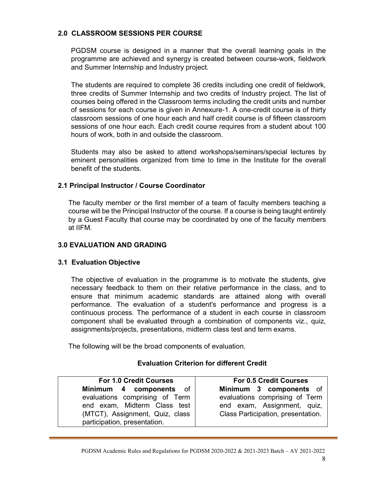## 2.0 CLASSROOM SESSIONS PER COURSE

PGDSM course is designed in a manner that the overall learning goals in the programme are achieved and synergy is created between course-work, fieldwork and Summer Internship and Industry project.

The students are required to complete 36 credits including one credit of fieldwork, three credits of Summer Internship and two credits of Industry project. The list of courses being offered in the Classroom terms including the credit units and number of sessions for each course is given in Annexure-1. A one-credit course is of thirty classroom sessions of one hour each and half credit course is of fifteen classroom sessions of one hour each. Each credit course requires from a student about 100 hours of work, both in and outside the classroom.

Students may also be asked to attend workshops/seminars/special lectures by eminent personalities organized from time to time in the Institute for the overall benefit of the students.

## 2.1 Principal Instructor / Course Coordinator

The faculty member or the first member of a team of faculty members teaching a course will be the Principal Instructor of the course. If a course is being taught entirely by a Guest Faculty that course may be coordinated by one of the faculty members at IIFM.

## 3.0 EVALUATION AND GRADING

## 3.1 Evaluation Objective

The objective of evaluation in the programme is to motivate the students, give necessary feedback to them on their relative performance in the class, and to ensure that minimum academic standards are attained along with overall performance. The evaluation of a student's performance and progress is a continuous process. The performance of a student in each course in classroom component shall be evaluated through a combination of components viz., quiz, assignments/projects, presentations, midterm class test and term exams.

The following will be the broad components of evaluation.

## Evaluation Criterion for different Credit

For 1.0 Credit Courses Minimum 4 components of evaluations comprising of Term end exam, Midterm Class test (MTCT), Assignment, Quiz, class participation, presentation.

For 0.5 Credit Courses Minimum 3 components of evaluations comprising of Term end exam, Assignment, quiz, Class Participation, presentation.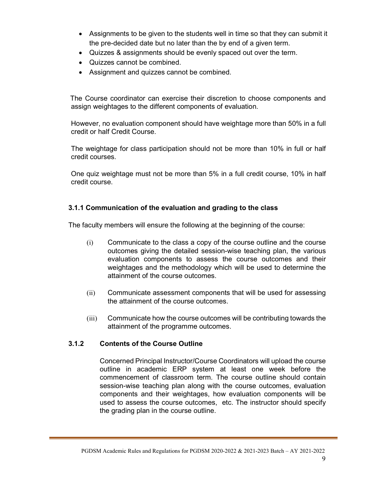- Assignments to be given to the students well in time so that they can submit it the pre-decided date but no later than the by end of a given term.
- Quizzes & assignments should be evenly spaced out over the term.
- Quizzes cannot be combined.
- Assignment and quizzes cannot be combined.

 The Course coordinator can exercise their discretion to choose components and assign weightages to the different components of evaluation.

However, no evaluation component should have weightage more than 50% in a full credit or half Credit Course.

The weightage for class participation should not be more than 10% in full or half credit courses.

One quiz weightage must not be more than 5% in a full credit course, 10% in half credit course.

## 3.1.1 Communication of the evaluation and grading to the class

The faculty members will ensure the following at the beginning of the course:

- (i) Communicate to the class a copy of the course outline and the course outcomes giving the detailed session-wise teaching plan, the various evaluation components to assess the course outcomes and their weightages and the methodology which will be used to determine the attainment of the course outcomes.
- (ii) Communicate assessment components that will be used for assessing the attainment of the course outcomes.
- (iii) Communicate how the course outcomes will be contributing towards the attainment of the programme outcomes.

## 3.1.2 Contents of the Course Outline

Concerned Principal Instructor/Course Coordinators will upload the course outline in academic ERP system at least one week before the commencement of classroom term. The course outline should contain session-wise teaching plan along with the course outcomes, evaluation components and their weightages, how evaluation components will be used to assess the course outcomes, etc. The instructor should specify the grading plan in the course outline.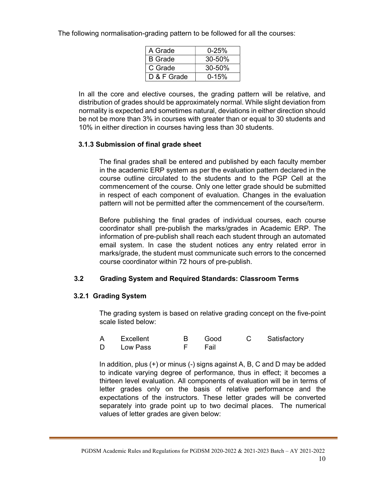The following normalisation-grading pattern to be followed for all the courses:

| A Grade        | $0 - 25%$  |
|----------------|------------|
| <b>B</b> Grade | $30 - 50%$ |
| C Grade        | $30 - 50%$ |
| D & F Grade    | $0 - 15%$  |

In all the core and elective courses, the grading pattern will be relative, and distribution of grades should be approximately normal. While slight deviation from normality is expected and sometimes natural, deviations in either direction should be not be more than 3% in courses with greater than or equal to 30 students and 10% in either direction in courses having less than 30 students.

## 3.1.3 Submission of final grade sheet

The final grades shall be entered and published by each faculty member in the academic ERP system as per the evaluation pattern declared in the course outline circulated to the students and to the PGP Cell at the commencement of the course. Only one letter grade should be submitted in respect of each component of evaluation. Changes in the evaluation pattern will not be permitted after the commencement of the course/term.

Before publishing the final grades of individual courses, each course coordinator shall pre-publish the marks/grades in Academic ERP. The information of pre-publish shall reach each student through an automated email system. In case the student notices any entry related error in marks/grade, the student must communicate such errors to the concerned course coordinator within 72 hours of pre-publish.

## 3.2 Grading System and Required Standards: Classroom Terms

## 3.2.1 Grading System

The grading system is based on relative grading concept on the five-point scale listed below:

| A Excellent |                      |  | B Good C Satisfactory |
|-------------|----------------------|--|-----------------------|
| D Low Pass  | and <b>Fig.</b> Fail |  |                       |

In addition, plus (+) or minus (-) signs against A, B, C and D may be added to indicate varying degree of performance, thus in effect; it becomes a thirteen level evaluation. All components of evaluation will be in terms of letter grades only on the basis of relative performance and the expectations of the instructors. These letter grades will be converted separately into grade point up to two decimal places. The numerical values of letter grades are given below: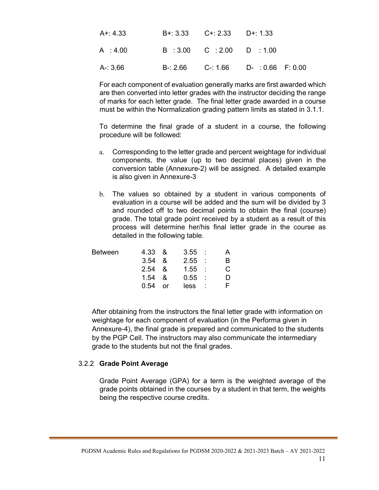| $A + 4.33$ | $B+: 3.33$ $C+: 2.33$ $D+: 1.33$         |                                             |
|------------|------------------------------------------|---------------------------------------------|
| A:4.00     | $B : 3.00 \quad C : 2.00 \quad D : 1.00$ |                                             |
| A-: 3.66   |                                          | $B - 2.66$ $C - 1.66$ $D - 0.66$ $F - 0.00$ |

For each component of evaluation generally marks are first awarded which are then converted into letter grades with the instructor deciding the range of marks for each letter grade. The final letter grade awarded in a course must be within the Normalization grading pattern limits as stated in 3.1.1.

To determine the final grade of a student in a course, the following procedure will be followed:

- a. Corresponding to the letter grade and percent weightage for individual components, the value (up to two decimal places) given in the conversion table (Annexure-2) will be assigned. A detailed example is also given in Annexure-3
- b. The values so obtained by a student in various components of evaluation in a course will be added and the sum will be divided by 3 and rounded off to two decimal points to obtain the final (course) grade. The total grade point received by a student as a result of this process will determine her/his final letter grade in the course as detailed in the following table.

|     |                                                             | R                                                  |
|-----|-------------------------------------------------------------|----------------------------------------------------|
|     |                                                             | C.                                                 |
|     |                                                             | D                                                  |
| or. |                                                             |                                                    |
|     | 4.33 &<br>$3.54 \&$<br>$2.54 \&$<br>$1.54 \quad \&$<br>0.54 | $3.55$ :<br>2.55:<br>$1.55$ :<br>$0.55$ :<br>less: |

After obtaining from the instructors the final letter grade with information on weightage for each component of evaluation (in the Performa given in Annexure-4), the final grade is prepared and communicated to the students by the PGP Cell. The instructors may also communicate the intermediary grade to the students but not the final grades.

#### 3.2.2 Grade Point Average

Grade Point Average (GPA) for a term is the weighted average of the grade points obtained in the courses by a student in that term, the weights being the respective course credits.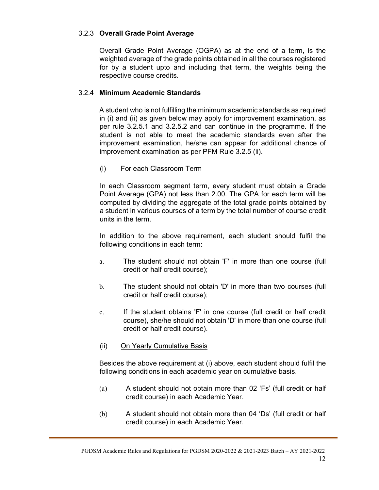## 3.2.3 Overall Grade Point Average

Overall Grade Point Average (OGPA) as at the end of a term, is the weighted average of the grade points obtained in all the courses registered for by a student upto and including that term, the weights being the respective course credits.

## 3.2.4 Minimum Academic Standards

A student who is not fulfilling the minimum academic standards as required in (i) and (ii) as given below may apply for improvement examination, as per rule 3.2.5.1 and 3.2.5.2 and can continue in the programme. If the student is not able to meet the academic standards even after the improvement examination, he/she can appear for additional chance of improvement examination as per PFM Rule 3.2.5 (ii).

## (i) For each Classroom Term

 In each Classroom segment term, every student must obtain a Grade Point Average (GPA) not less than 2.00. The GPA for each term will be computed by dividing the aggregate of the total grade points obtained by a student in various courses of a term by the total number of course credit units in the term.

 In addition to the above requirement, each student should fulfil the following conditions in each term:

- a. The student should not obtain 'F' in more than one course (full credit or half credit course);
- b. The student should not obtain 'D' in more than two courses (full credit or half credit course);
- c. If the student obtains 'F' in one course (full credit or half credit course), she/he should not obtain 'D' in more than one course (full credit or half credit course).
- (ii) On Yearly Cumulative Basis

Besides the above requirement at (i) above, each student should fulfil the following conditions in each academic year on cumulative basis.

- (a) A student should not obtain more than 02 'Fs' (full credit or half credit course) in each Academic Year.
- (b) A student should not obtain more than 04 'Ds' (full credit or half credit course) in each Academic Year.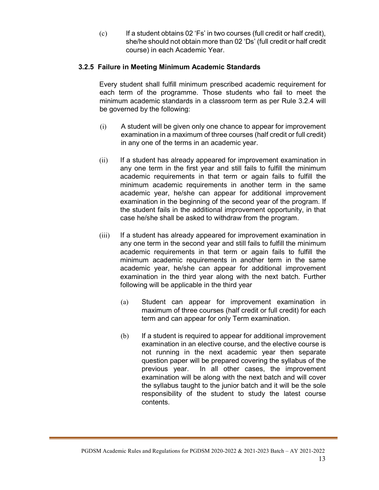(c) If a student obtains 02 'Fs' in two courses (full credit or half credit), she/he should not obtain more than 02 'Ds' (full credit or half credit course) in each Academic Year.

## 3.2.5 Failure in Meeting Minimum Academic Standards

Every student shall fulfill minimum prescribed academic requirement for each term of the programme. Those students who fail to meet the minimum academic standards in a classroom term as per Rule 3.2.4 will be governed by the following:

- (i) A student will be given only one chance to appear for improvement examination in a maximum of three courses (half credit or full credit) in any one of the terms in an academic year.
- (ii) If a student has already appeared for improvement examination in any one term in the first year and still fails to fulfill the minimum academic requirements in that term or again fails to fulfill the minimum academic requirements in another term in the same academic year, he/she can appear for additional improvement examination in the beginning of the second year of the program. If the student fails in the additional improvement opportunity, in that case he/she shall be asked to withdraw from the program.
- (iii) If a student has already appeared for improvement examination in any one term in the second year and still fails to fulfill the minimum academic requirements in that term or again fails to fulfill the minimum academic requirements in another term in the same academic year, he/she can appear for additional improvement examination in the third year along with the next batch. Further following will be applicable in the third year
	- (a) Student can appear for improvement examination in maximum of three courses (half credit or full credit) for each term and can appear for only Term examination.
	- (b) If a student is required to appear for additional improvement examination in an elective course, and the elective course is not running in the next academic year then separate question paper will be prepared covering the syllabus of the previous year. In all other cases, the improvement examination will be along with the next batch and will cover the syllabus taught to the junior batch and it will be the sole responsibility of the student to study the latest course contents.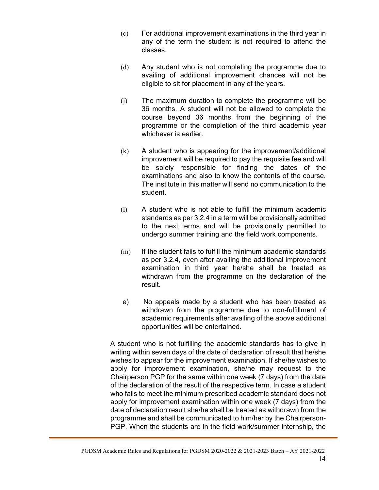- (c) For additional improvement examinations in the third year in any of the term the student is not required to attend the classes.
- (d) Any student who is not completing the programme due to availing of additional improvement chances will not be eligible to sit for placement in any of the years.
- (j) The maximum duration to complete the programme will be 36 months. A student will not be allowed to complete the course beyond 36 months from the beginning of the programme or the completion of the third academic year whichever is earlier.
- (k) A student who is appearing for the improvement/additional improvement will be required to pay the requisite fee and will be solely responsible for finding the dates of the examinations and also to know the contents of the course. The institute in this matter will send no communication to the student.
- (l) A student who is not able to fulfill the minimum academic standards as per 3.2.4 in a term will be provisionally admitted to the next terms and will be provisionally permitted to undergo summer training and the field work components.
- $(m)$  If the student fails to fulfill the minimum academic standards as per 3.2.4, even after availing the additional improvement examination in third year he/she shall be treated as withdrawn from the programme on the declaration of the result.
- e) No appeals made by a student who has been treated as withdrawn from the programme due to non-fulfillment of academic requirements after availing of the above additional opportunities will be entertained.

A student who is not fulfilling the academic standards has to give in writing within seven days of the date of declaration of result that he/she wishes to appear for the improvement examination. If she/he wishes to apply for improvement examination, she/he may request to the Chairperson PGP for the same within one week (7 days) from the date of the declaration of the result of the respective term. In case a student who fails to meet the minimum prescribed academic standard does not apply for improvement examination within one week (7 days) from the date of declaration result she/he shall be treated as withdrawn from the programme and shall be communicated to him/her by the Chairperson-PGP. When the students are in the field work/summer internship, the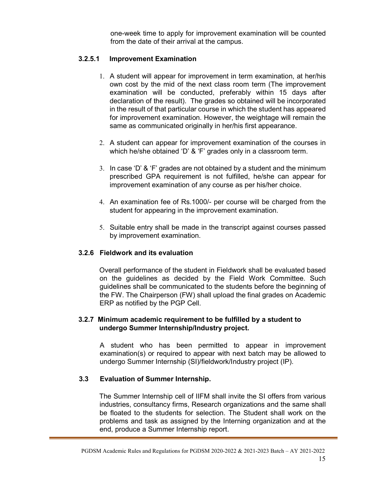one-week time to apply for improvement examination will be counted from the date of their arrival at the campus.

## 3.2.5.1 Improvement Examination

- 1. A student will appear for improvement in term examination, at her/his own cost by the mid of the next class room term (The improvement examination will be conducted, preferably within 15 days after declaration of the result). The grades so obtained will be incorporated in the result of that particular course in which the student has appeared for improvement examination. However, the weightage will remain the same as communicated originally in her/his first appearance.
- 2. A student can appear for improvement examination of the courses in which he/she obtained 'D' & 'F' grades only in a classroom term.
- 3. In case 'D' & 'F' grades are not obtained by a student and the minimum prescribed GPA requirement is not fulfilled, he/she can appear for improvement examination of any course as per his/her choice.
- 4. An examination fee of Rs.1000/- per course will be charged from the student for appearing in the improvement examination.
- 5. Suitable entry shall be made in the transcript against courses passed by improvement examination.

## 3.2.6 Fieldwork and its evaluation

Overall performance of the student in Fieldwork shall be evaluated based on the guidelines as decided by the Field Work Committee. Such guidelines shall be communicated to the students before the beginning of the FW. The Chairperson (FW) shall upload the final grades on Academic ERP as notified by the PGP Cell.

## 3.2.7 Minimum academic requirement to be fulfilled by a student to undergo Summer Internship/Industry project.

A student who has been permitted to appear in improvement examination(s) or required to appear with next batch may be allowed to undergo Summer Internship (SI)/fieldwork/Industry project (IP).

## 3.3 Evaluation of Summer Internship.

The Summer Internship cell of IIFM shall invite the SI offers from various industries, consultancy firms, Research organizations and the same shall be floated to the students for selection. The Student shall work on the problems and task as assigned by the Interning organization and at the end, produce a Summer Internship report.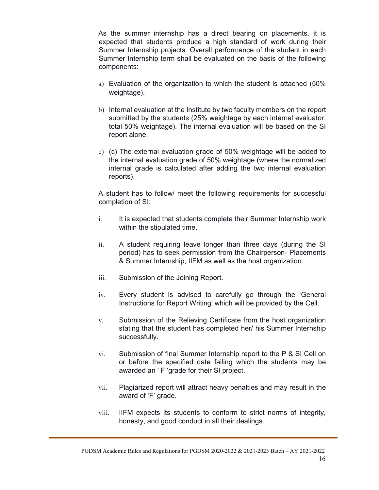As the summer internship has a direct bearing on placements, it is expected that students produce a high standard of work during their Summer Internship projects. Overall performance of the student in each Summer Internship term shall be evaluated on the basis of the following components:

- a) Evaluation of the organization to which the student is attached (50% weightage).
- b) Internal evaluation at the Institute by two faculty members on the report submitted by the students (25% weightage by each internal evaluator; total 50% weightage). The internal evaluation will be based on the SI report alone.
- c) (c) The external evaluation grade of 50% weightage will be added to the internal evaluation grade of 50% weightage (where the normalized internal grade is calculated after adding the two internal evaluation reports).

A student has to follow/ meet the following requirements for successful completion of SI:

- i. It is expected that students complete their Summer Internship work within the stipulated time.
- ii. A student requiring leave longer than three days (during the SI period) has to seek permission from the Chairperson- Placements & Summer Internship, IIFM as well as the host organization.
- iii. Submission of the Joining Report.
- iv. Every student is advised to carefully go through the 'General Instructions for Report Writing' which will be provided by the Cell.
- v. Submission of the Relieving Certificate from the host organization stating that the student has completed her/ his Summer Internship successfully.
- vi. Submission of final Summer Internship report to the P & SI Cell on or before the specified date failing which the students may be awarded an ' F 'grade for their SI project.
- vii. Plagiarized report will attract heavy penalties and may result in the award of 'F' grade.
- viii. IIFM expects its students to conform to strict norms of integrity, honesty, and good conduct in all their dealings.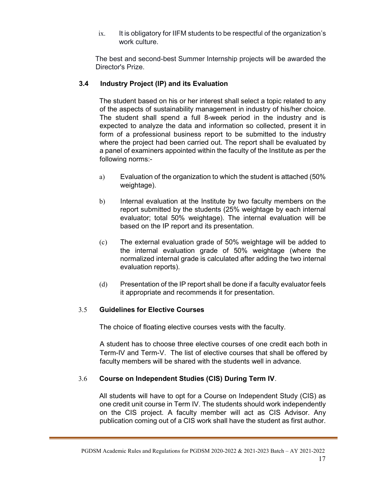ix. It is obligatory for IIFM students to be respectful of the organization's work culture.

The best and second-best Summer Internship projects will be awarded the Director's Prize.

## 3.4 Industry Project (IP) and its Evaluation

The student based on his or her interest shall select a topic related to any of the aspects of sustainability management in industry of his/her choice. The student shall spend a full 8-week period in the industry and is expected to analyze the data and information so collected, present it in form of a professional business report to be submitted to the industry where the project had been carried out. The report shall be evaluated by a panel of examiners appointed within the faculty of the Institute as per the following norms:-

- a) Evaluation of the organization to which the student is attached (50% weightage).
- b) Internal evaluation at the Institute by two faculty members on the report submitted by the students (25% weightage by each internal evaluator; total 50% weightage). The internal evaluation will be based on the IP report and its presentation.
- (c) The external evaluation grade of 50% weightage will be added to the internal evaluation grade of 50% weightage (where the normalized internal grade is calculated after adding the two internal evaluation reports).
- (d) Presentation of the IP report shall be done if a faculty evaluator feels it appropriate and recommends it for presentation.

## 3.5 Guidelines for Elective Courses

The choice of floating elective courses vests with the faculty.

A student has to choose three elective courses of one credit each both in Term-IV and Term-V. The list of elective courses that shall be offered by faculty members will be shared with the students well in advance.

## 3.6 Course on Independent Studies (CIS) During Term IV.

All students will have to opt for a Course on Independent Study (CIS) as one credit unit course in Term IV. The students should work independently on the CIS project. A faculty member will act as CIS Advisor. Any publication coming out of a CIS work shall have the student as first author.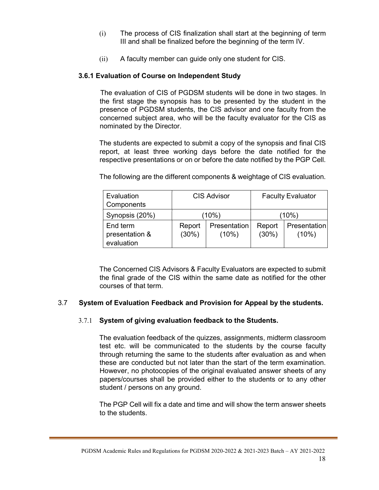- (i) The process of CIS finalization shall start at the beginning of term III and shall be finalized before the beginning of the term IV.
- (ii) A faculty member can guide only one student for CIS.

## 3.6.1 Evaluation of Course on Independent Study

 The evaluation of CIS of PGDSM students will be done in two stages. In the first stage the synopsis has to be presented by the student in the presence of PGDSM students, the CIS advisor and one faculty from the concerned subject area, who will be the faculty evaluator for the CIS as nominated by the Director.

The students are expected to submit a copy of the synopsis and final CIS report, at least three working days before the date notified for the respective presentations or on or before the date notified by the PGP Cell.

**Evaluation Components** CIS Advisor | Faculty Evaluator Synopsis (20%)  $(10\%)$  (10%) (10%) End term presentation & evaluation Report (30%) Presentation (10%) Report (30%) **Presentation** (10%)

The following are the different components & weightage of CIS evaluation.

The Concerned CIS Advisors & Faculty Evaluators are expected to submit the final grade of the CIS within the same date as notified for the other courses of that term.

## 3.7 System of Evaluation Feedback and Provision for Appeal by the students.

## 3.7.1 System of giving evaluation feedback to the Students.

The evaluation feedback of the quizzes, assignments, midterm classroom test etc. will be communicated to the students by the course faculty through returning the same to the students after evaluation as and when these are conducted but not later than the start of the term examination. However, no photocopies of the original evaluated answer sheets of any papers/courses shall be provided either to the students or to any other student / persons on any ground.

The PGP Cell will fix a date and time and will show the term answer sheets to the students.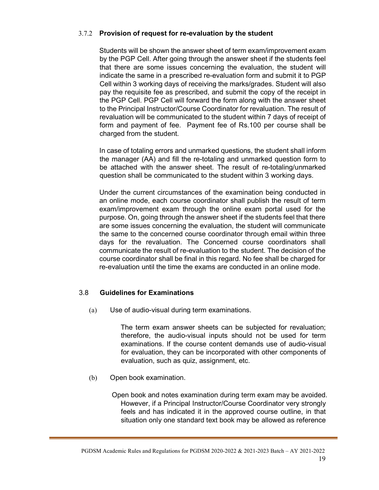## 3.7.2 Provision of request for re-evaluation by the student

Students will be shown the answer sheet of term exam/improvement exam by the PGP Cell. After going through the answer sheet if the students feel that there are some issues concerning the evaluation, the student will indicate the same in a prescribed re-evaluation form and submit it to PGP Cell within 3 working days of receiving the marks/grades. Student will also pay the requisite fee as prescribed, and submit the copy of the receipt in the PGP Cell. PGP Cell will forward the form along with the answer sheet to the Principal Instructor/Course Coordinator for revaluation. The result of revaluation will be communicated to the student within 7 days of receipt of form and payment of fee. Payment fee of Rs.100 per course shall be charged from the student.

In case of totaling errors and unmarked questions, the student shall inform the manager (AA) and fill the re-totaling and unmarked question form to be attached with the answer sheet. The result of re-totaling/unmarked question shall be communicated to the student within 3 working days.

Under the current circumstances of the examination being conducted in an online mode, each course coordinator shall publish the result of term exam/improvement exam through the online exam portal used for the purpose. On, going through the answer sheet if the students feel that there are some issues concerning the evaluation, the student will communicate the same to the concerned course coordinator through email within three days for the revaluation. The Concerned course coordinators shall communicate the result of re-evaluation to the student. The decision of the course coordinator shall be final in this regard. No fee shall be charged for re-evaluation until the time the exams are conducted in an online mode.

## 3.8 Guidelines for Examinations

(a) Use of audio-visual during term examinations.

The term exam answer sheets can be subjected for revaluation; therefore, the audio-visual inputs should not be used for term examinations. If the course content demands use of audio-visual for evaluation, they can be incorporated with other components of evaluation, such as quiz, assignment, etc.

(b) Open book examination.

 Open book and notes examination during term exam may be avoided. However, if a Principal Instructor/Course Coordinator very strongly feels and has indicated it in the approved course outline, in that situation only one standard text book may be allowed as reference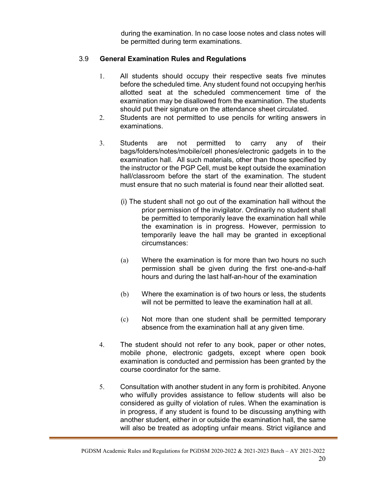during the examination. In no case loose notes and class notes will be permitted during term examinations.

## 3.9 General Examination Rules and Regulations

- 1. All students should occupy their respective seats five minutes before the scheduled time. Any student found not occupying her/his allotted seat at the scheduled commencement time of the examination may be disallowed from the examination. The students should put their signature on the attendance sheet circulated.
- 2. Students are not permitted to use pencils for writing answers in examinations.
- 3. Students are not permitted to carry any of their bags/folders/notes/mobile/cell phones/electronic gadgets in to the examination hall. All such materials, other than those specified by the instructor or the PGP Cell, must be kept outside the examination hall/classroom before the start of the examination. The student must ensure that no such material is found near their allotted seat.
	- (i) The student shall not go out of the examination hall without the prior permission of the invigilator. Ordinarily no student shall be permitted to temporarily leave the examination hall while the examination is in progress. However, permission to temporarily leave the hall may be granted in exceptional circumstances:
	- (a) Where the examination is for more than two hours no such permission shall be given during the first one-and-a-half hours and during the last half-an-hour of the examination
	- (b) Where the examination is of two hours or less, the students will not be permitted to leave the examination hall at all.
	- (c) Not more than one student shall be permitted temporary absence from the examination hall at any given time.
- 4. The student should not refer to any book, paper or other notes, mobile phone, electronic gadgets, except where open book examination is conducted and permission has been granted by the course coordinator for the same.
- 5. Consultation with another student in any form is prohibited. Anyone who wilfully provides assistance to fellow students will also be considered as guilty of violation of rules. When the examination is in progress, if any student is found to be discussing anything with another student, either in or outside the examination hall, the same will also be treated as adopting unfair means. Strict vigilance and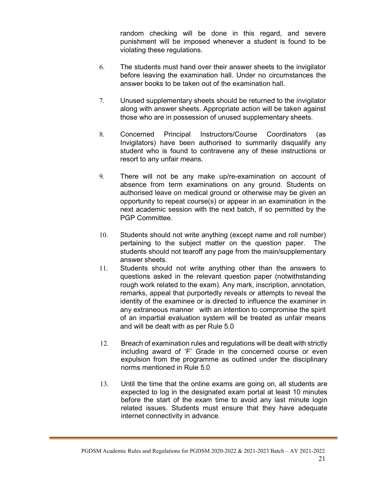random checking will be done in this regard, and severe punishment will be imposed whenever a student is found to be violating these regulations.

- 6. The students must hand over their answer sheets to the invigilator before leaving the examination hall. Under no circumstances the answer books to be taken out of the examination hall.
- 7. Unused supplementary sheets should be returned to the invigilator along with answer sheets. Appropriate action will be taken against those who are in possession of unused supplementary sheets.
- 8. Concerned Principal Instructors/Course Coordinators (as Invigilators) have been authorised to summarily disqualify any student who is found to contravene any of these instructions or resort to any unfair means.
- 9. There will not be any make up/re-examination on account of absence from term examinations on any ground. Students on authorised leave on medical ground or otherwise may be given an opportunity to repeat course(s) or appear in an examination in the next academic session with the next batch, if so permitted by the PGP Committee.
- 10. Students should not write anything (except name and roll number) pertaining to the subject matter on the question paper. The students should not tearoff any page from the main/supplementary answer sheets.
- 11. Students should not write anything other than the answers to questions asked in the relevant question paper (notwithstanding rough work related to the exam). Any mark, inscription, annotation, remarks, appeal that purportedly reveals or attempts to reveal the identity of the examinee or is directed to influence the examiner in any extraneous manner with an intention to compromise the spirit of an impartial evaluation system will be treated as unfair means and will be dealt with as per Rule 5.0
- 12. Breach of examination rules and regulations will be dealt with strictly including award of 'F' Grade in the concerned course or even expulsion from the programme as outlined under the disciplinary norms mentioned in Rule 5.0
- 13. Until the time that the online exams are going on, all students are expected to log in the designated exam portal at least 10 minutes before the start of the exam time to avoid any last minute login related issues. Students must ensure that they have adequate internet connectivity in advance.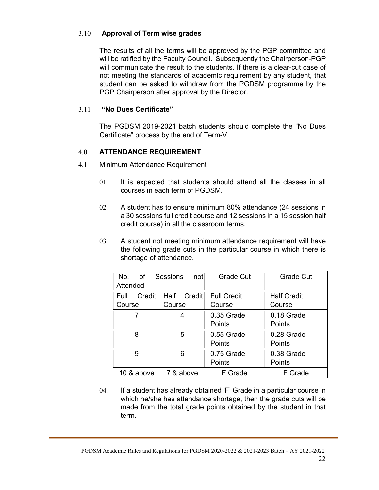## 3.10 Approval of Term wise grades

The results of all the terms will be approved by the PGP committee and will be ratified by the Faculty Council. Subsequently the Chairperson-PGP will communicate the result to the students. If there is a clear-cut case of not meeting the standards of academic requirement by any student, that student can be asked to withdraw from the PGDSM programme by the PGP Chairperson after approval by the Director.

## 3.11 "No Dues Certificate"

The PGDSM 2019-2021 batch students should complete the "No Dues Certificate" process by the end of Term-V.

## 4.0 ATTENDANCE REQUIREMENT

- 4.1 Minimum Attendance Requirement
	- 01. It is expected that students should attend all the classes in all courses in each term of PGDSM.
	- 02. A student has to ensure minimum 80% attendance (24 sessions in a 30 sessions full credit course and 12 sessions in a 15 session half credit course) in all the classroom terms.
	- 03. A student not meeting minimum attendance requirement will have the following grade cuts in the particular course in which there is shortage of attendance.

| Grade Cut<br>Grade Cut<br>No.<br>of.<br><b>Sessions</b><br>not<br>Attended |                          |                              |                              |  |  |  |  |  |  |
|----------------------------------------------------------------------------|--------------------------|------------------------------|------------------------------|--|--|--|--|--|--|
| Credit<br>Full<br>Course                                                   | Half<br>Credit<br>Course | <b>Full Credit</b><br>Course | <b>Half Credit</b><br>Course |  |  |  |  |  |  |
| 7                                                                          | 4                        | 0.35 Grade<br><b>Points</b>  | 0.18 Grade<br><b>Points</b>  |  |  |  |  |  |  |
| 8                                                                          | 5                        | 0.55 Grade<br><b>Points</b>  | 0.28 Grade<br>Points         |  |  |  |  |  |  |
| 9                                                                          | 6                        | 0.75 Grade<br>Points         | 0.38 Grade<br>Points         |  |  |  |  |  |  |
| 10 & above                                                                 | 7 & above                | F Grade                      | F Grade                      |  |  |  |  |  |  |

04. If a student has already obtained 'F' Grade in a particular course in which he/she has attendance shortage, then the grade cuts will be made from the total grade points obtained by the student in that term.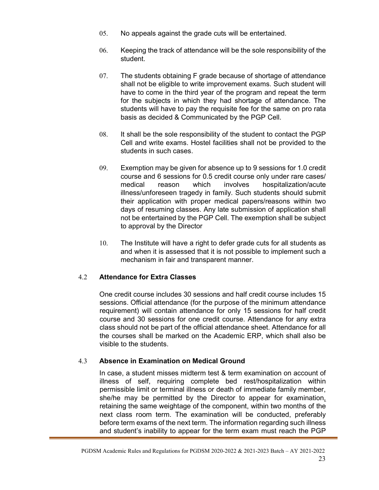- 05. No appeals against the grade cuts will be entertained.
- 06. Keeping the track of attendance will be the sole responsibility of the student.
- 07. The students obtaining F grade because of shortage of attendance shall not be eligible to write improvement exams. Such student will have to come in the third year of the program and repeat the term for the subjects in which they had shortage of attendance. The students will have to pay the requisite fee for the same on pro rata basis as decided & Communicated by the PGP Cell.
- 08. It shall be the sole responsibility of the student to contact the PGP Cell and write exams. Hostel facilities shall not be provided to the students in such cases.
- 09. Exemption may be given for absence up to 9 sessions for 1.0 credit course and 6 sessions for 0.5 credit course only under rare cases/ medical reason which involves hospitalization/acute illness/unforeseen tragedy in family. Such students should submit their application with proper medical papers/reasons within two days of resuming classes. Any late submission of application shall not be entertained by the PGP Cell. The exemption shall be subject to approval by the Director
- 10. The Institute will have a right to defer grade cuts for all students as and when it is assessed that it is not possible to implement such a mechanism in fair and transparent manner.

## 4.2 Attendance for Extra Classes

One credit course includes 30 sessions and half credit course includes 15 sessions. Official attendance (for the purpose of the minimum attendance requirement) will contain attendance for only 15 sessions for half credit course and 30 sessions for one credit course. Attendance for any extra class should not be part of the official attendance sheet. Attendance for all the courses shall be marked on the Academic ERP, which shall also be visible to the students.

## 4.3 Absence in Examination on Medical Ground

In case, a student misses midterm test & term examination on account of illness of self, requiring complete bed rest/hospitalization within permissible limit or terminal illness or death of immediate family member, she/he may be permitted by the Director to appear for examination, retaining the same weightage of the component, within two months of the next class room term. The examination will be conducted, preferably before term exams of the next term. The information regarding such illness and student's inability to appear for the term exam must reach the PGP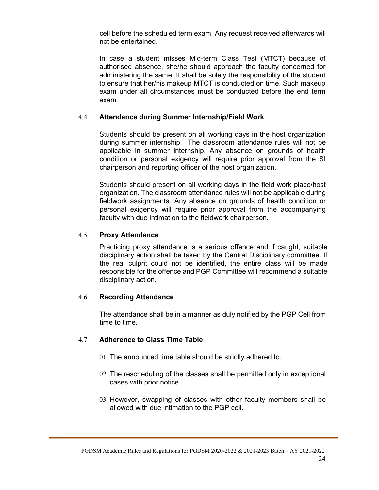cell before the scheduled term exam. Any request received afterwards will not be entertained.

In case a student misses Mid-term Class Test (MTCT) because of authorised absence, she/he should approach the faculty concerned for administering the same. It shall be solely the responsibility of the student to ensure that her/his makeup MTCT is conducted on time. Such makeup exam under all circumstances must be conducted before the end term exam.

#### 4.4 Attendance during Summer Internship/Field Work

Students should be present on all working days in the host organization during summer internship. The classroom attendance rules will not be applicable in summer internship. Any absence on grounds of health condition or personal exigency will require prior approval from the SI chairperson and reporting officer of the host organization.

Students should present on all working days in the field work place/host organization. The classroom attendance rules will not be applicable during fieldwork assignments. Any absence on grounds of health condition or personal exigency will require prior approval from the accompanying faculty with due intimation to the fieldwork chairperson.

#### 4.5 Proxy Attendance

Practicing proxy attendance is a serious offence and if caught, suitable disciplinary action shall be taken by the Central Disciplinary committee. If the real culprit could not be identified, the entire class will be made responsible for the offence and PGP Committee will recommend a suitable disciplinary action.

#### 4.6 Recording Attendance

The attendance shall be in a manner as duly notified by the PGP Cell from time to time.

## 4.7 Adherence to Class Time Table

- 01. The announced time table should be strictly adhered to.
- 02. The rescheduling of the classes shall be permitted only in exceptional cases with prior notice.
- 03. However, swapping of classes with other faculty members shall be allowed with due intimation to the PGP cell.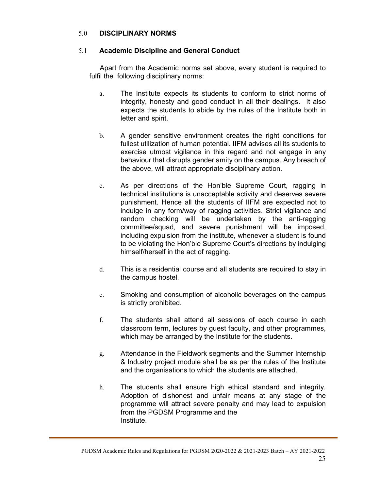## 5.0 DISCIPLINARY NORMS

## 5.1 Academic Discipline and General Conduct

Apart from the Academic norms set above, every student is required to fulfil the following disciplinary norms:

- a. The Institute expects its students to conform to strict norms of integrity, honesty and good conduct in all their dealings. It also expects the students to abide by the rules of the Institute both in letter and spirit.
- b. A gender sensitive environment creates the right conditions for fullest utilization of human potential. IIFM advises all its students to exercise utmost vigilance in this regard and not engage in any behaviour that disrupts gender amity on the campus. Any breach of the above, will attract appropriate disciplinary action.
- c. As per directions of the Hon'ble Supreme Court, ragging in technical institutions is unacceptable activity and deserves severe punishment. Hence all the students of IIFM are expected not to indulge in any form/way of ragging activities. Strict vigilance and random checking will be undertaken by the anti-ragging committee/squad, and severe punishment will be imposed, including expulsion from the institute, whenever a student is found to be violating the Hon'ble Supreme Court's directions by indulging himself/herself in the act of ragging.
- d. This is a residential course and all students are required to stay in the campus hostel.
- e. Smoking and consumption of alcoholic beverages on the campus is strictly prohibited.
- f. The students shall attend all sessions of each course in each classroom term, lectures by guest faculty, and other programmes, which may be arranged by the Institute for the students.
- g. Attendance in the Fieldwork segments and the Summer Internship & Industry project module shall be as per the rules of the Institute and the organisations to which the students are attached.
- h. The students shall ensure high ethical standard and integrity. Adoption of dishonest and unfair means at any stage of the programme will attract severe penalty and may lead to expulsion from the PGDSM Programme and the Institute.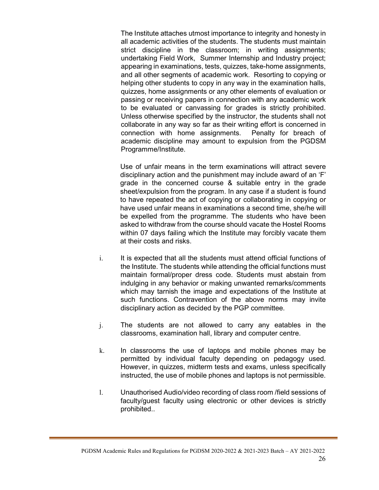The Institute attaches utmost importance to integrity and honesty in all academic activities of the students. The students must maintain strict discipline in the classroom; in writing assignments; undertaking Field Work, Summer Internship and Industry project; appearing in examinations, tests, quizzes, take-home assignments, and all other segments of academic work. Resorting to copying or helping other students to copy in any way in the examination halls, quizzes, home assignments or any other elements of evaluation or passing or receiving papers in connection with any academic work to be evaluated or canvassing for grades is strictly prohibited. Unless otherwise specified by the instructor, the students shall not collaborate in any way so far as their writing effort is concerned in connection with home assignments. Penalty for breach of academic discipline may amount to expulsion from the PGDSM Programme/Institute.

 Use of unfair means in the term examinations will attract severe disciplinary action and the punishment may include award of an 'F' grade in the concerned course & suitable entry in the grade sheet/expulsion from the program. In any case if a student is found to have repeated the act of copying or collaborating in copying or have used unfair means in examinations a second time, she/he will be expelled from the programme. The students who have been asked to withdraw from the course should vacate the Hostel Rooms within 07 days failing which the Institute may forcibly vacate them at their costs and risks.

- i. It is expected that all the students must attend official functions of the Institute. The students while attending the official functions must maintain formal/proper dress code. Students must abstain from indulging in any behavior or making unwanted remarks/comments which may tarnish the image and expectations of the Institute at such functions. Contravention of the above norms may invite disciplinary action as decided by the PGP committee.
- j. The students are not allowed to carry any eatables in the classrooms, examination hall, library and computer centre.
- k. In classrooms the use of laptops and mobile phones may be permitted by individual faculty depending on pedagogy used. However, in quizzes, midterm tests and exams, unless specifically instructed, the use of mobile phones and laptops is not permissible.
- l. Unauthorised Audio/video recording of class room /field sessions of faculty/guest faculty using electronic or other devices is strictly prohibited..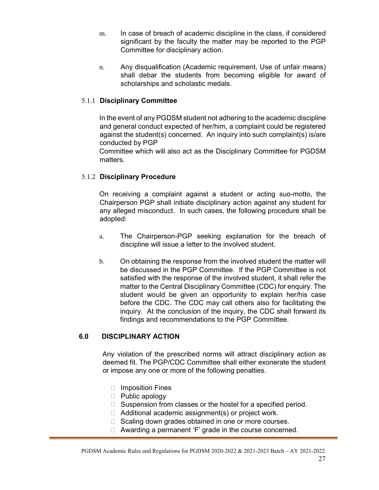- m. In case of breach of academic discipline in the class, if considered significant by the faculty the matter may be reported to the PGP Committee for disciplinary action.
- n. Any disqualification (Academic requirement, Use of unfair means) shall debar the students from becoming eligible for award of scholarships and scholastic medals.

## 5.1.1 Disciplinary Committee

In the event of any PGDSM student not adhering to the academic discipline and general conduct expected of her/him, a complaint could be registered against the student(s) concerned. An inquiry into such complaint(s) is/are conducted by PGP

Committee which will also act as the Disciplinary Committee for PGDSM matters.

## 5.1.2 Disciplinary Procedure

On receiving a complaint against a student or acting suo-motto, the Chairperson PGP shall initiate disciplinary action against any student for any alleged misconduct. In such cases, the following procedure shall be adopted:

- a. The Chairperson-PGP seeking explanation for the breach of discipline will issue a letter to the involved student.
- b. On obtaining the response from the involved student the matter will be discussed in the PGP Committee. If the PGP Committee is not satisfied with the response of the involved student, it shall refer the matter to the Central Disciplinary Committee (CDC) for enquiry. The student would be given an opportunity to explain her/his case before the CDC. The CDC may call others also for facilitating the inquiry. At the conclusion of the inquiry, the CDC shall forward its findings and recommendations to the PGP Committee.

## 6.0 DISCIPLINARY ACTION

Any violation of the prescribed norms will attract disciplinary action as deemed fit. The PGP/CDC Committee shall either exonerate the student or impose any one or more of the following penalties.

- □ Imposition Fines
- $\Box$  Public apology
- □ Suspension from classes or the hostel for a specified period.
- $\Box$  Additional academic assignment(s) or project work.
- $\Box$  Scaling down grades obtained in one or more courses.
- $\Box$  Awarding a permanent 'F' grade in the course concerned.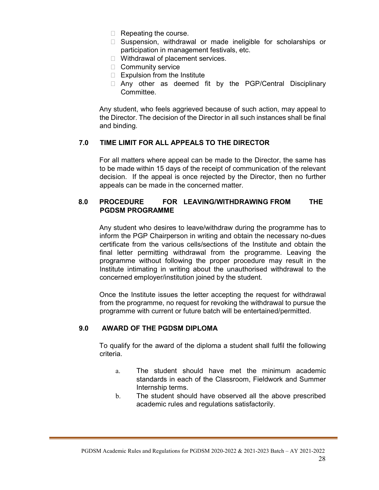- $\Box$  Repeating the course.
- □ Suspension, withdrawal or made ineligible for scholarships or participation in management festivals, etc.
- □ Withdrawal of placement services.
- **Community service**
- $\Box$  Expulsion from the Institute
- □ Any other as deemed fit by the PGP/Central Disciplinary Committee.

Any student, who feels aggrieved because of such action, may appeal to the Director. The decision of the Director in all such instances shall be final and binding.

## 7.0 TIME LIMIT FOR ALL APPEALS TO THE DIRECTOR

For all matters where appeal can be made to the Director, the same has to be made within 15 days of the receipt of communication of the relevant decision. If the appeal is once rejected by the Director, then no further appeals can be made in the concerned matter.

## 8.0 PROCEDURE FOR LEAVING/WITHDRAWING FROM THE PGDSM PROGRAMME

Any student who desires to leave/withdraw during the programme has to inform the PGP Chairperson in writing and obtain the necessary no-dues certificate from the various cells/sections of the Institute and obtain the final letter permitting withdrawal from the programme. Leaving the programme without following the proper procedure may result in the Institute intimating in writing about the unauthorised withdrawal to the concerned employer/institution joined by the student.

Once the Institute issues the letter accepting the request for withdrawal from the programme, no request for revoking the withdrawal to pursue the programme with current or future batch will be entertained/permitted.

## 9.0 AWARD OF THE PGDSM DIPLOMA

To qualify for the award of the diploma a student shall fulfil the following criteria.

- a. The student should have met the minimum academic standards in each of the Classroom, Fieldwork and Summer Internship terms.
- b. The student should have observed all the above prescribed academic rules and regulations satisfactorily.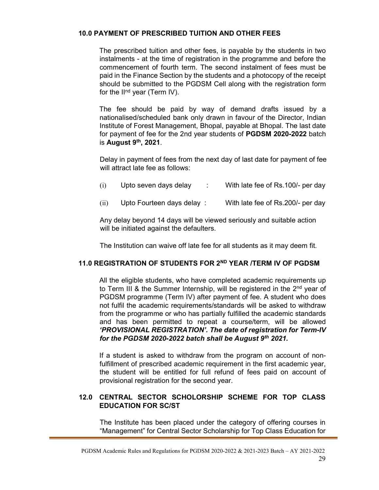## 10.0 PAYMENT OF PRESCRIBED TUITION AND OTHER FEES

The prescribed tuition and other fees, is payable by the students in two instalments - at the time of registration in the programme and before the commencement of fourth term. The second instalment of fees must be paid in the Finance Section by the students and a photocopy of the receipt should be submitted to the PGDSM Cell along with the registration form for the II<sup>nd</sup> year (Term IV).

The fee should be paid by way of demand drafts issued by a nationalised/scheduled bank only drawn in favour of the Director, Indian Institute of Forest Management, Bhopal, payable at Bhopal. The last date for payment of fee for the 2nd year students of PGDSM 2020-2022 batch is August  $9<sup>th</sup>$ , 2021.

Delay in payment of fees from the next day of last date for payment of fee will attract late fee as follows:

| (i)<br>Upto seven days delay |  |  | With late fee of Rs.100/- per day |
|------------------------------|--|--|-----------------------------------|
|------------------------------|--|--|-----------------------------------|

(ii) Upto Fourteen days delay : With late fee of Rs.200/- per day

Any delay beyond 14 days will be viewed seriously and suitable action will be initiated against the defaulters.

The Institution can waive off late fee for all students as it may deem fit.

## 11.0 REGISTRATION OF STUDENTS FOR 2ND YEAR /TERM IV OF PGDSM

All the eligible students, who have completed academic requirements up to Term III & the Summer Internship, will be registered in the 2<sup>nd</sup> year of PGDSM programme (Term IV) after payment of fee. A student who does not fulfil the academic requirements/standards will be asked to withdraw from the programme or who has partially fulfilled the academic standards and has been permitted to repeat a course/term, will be allowed 'PROVISIONAL REGISTRATION'. The date of registration for Term-IV for the PGDSM 2020-2022 batch shall be August  $9<sup>th</sup>$  2021.

If a student is asked to withdraw from the program on account of nonfulfillment of prescribed academic requirement in the first academic year, the student will be entitled for full refund of fees paid on account of provisional registration for the second year.

## 12.0 CENTRAL SECTOR SCHOLORSHIP SCHEME FOR TOP CLASS EDUCATION FOR SC/ST

The Institute has been placed under the category of offering courses in "Management" for Central Sector Scholarship for Top Class Education for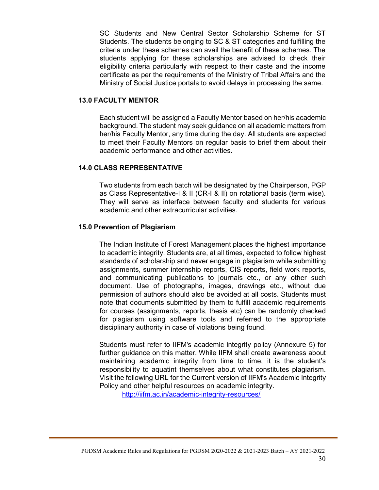SC Students and New Central Sector Scholarship Scheme for ST Students. The students belonging to SC & ST categories and fulfilling the criteria under these schemes can avail the benefit of these schemes. The students applying for these scholarships are advised to check their eligibility criteria particularly with respect to their caste and the income certificate as per the requirements of the Ministry of Tribal Affairs and the Ministry of Social Justice portals to avoid delays in processing the same.

#### 13.0 FACULTY MENTOR

Each student will be assigned a Faculty Mentor based on her/his academic background. The student may seek guidance on all academic matters from her/his Faculty Mentor, any time during the day. All students are expected to meet their Faculty Mentors on regular basis to brief them about their academic performance and other activities.

## 14.0 CLASS REPRESENTATIVE

Two students from each batch will be designated by the Chairperson, PGP as Class Representative-I & II (CR-I & II) on rotational basis (term wise). They will serve as interface between faculty and students for various academic and other extracurricular activities.

#### 15.0 Prevention of Plagiarism

The Indian Institute of Forest Management places the highest importance to academic integrity. Students are, at all times, expected to follow highest standards of scholarship and never engage in plagiarism while submitting assignments, summer internship reports, CIS reports, field work reports, and communicating publications to journals etc., or any other such document. Use of photographs, images, drawings etc., without due permission of authors should also be avoided at all costs. Students must note that documents submitted by them to fulfill academic requirements for courses (assignments, reports, thesis etc) can be randomly checked for plagiarism using software tools and referred to the appropriate disciplinary authority in case of violations being found.

Students must refer to IIFM's academic integrity policy (Annexure 5) for further guidance on this matter. While IIFM shall create awareness about maintaining academic integrity from time to time, it is the student's responsibility to aquatint themselves about what constitutes plagiarism. Visit the following URL for the Current version of IIFM's Academic Integrity Policy and other helpful resources on academic integrity.

http://iifm.ac.in/academic-integrity-resources/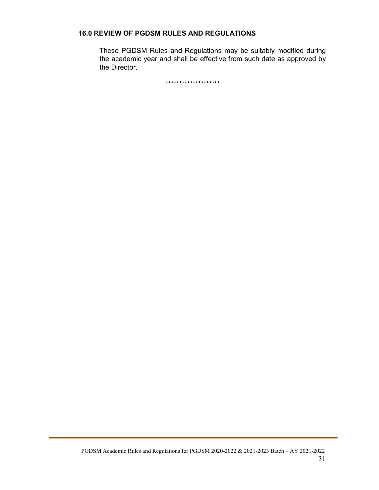## 16.0 REVIEW OF PGDSM RULES AND REGULATIONS

These PGDSM Rules and Regulations may be suitably modified during the academic year and shall be effective from such date as approved by the Director.

\*\*\*\*\*\*\*\*\*\*\*\*\*\*\*\*\*\*\*\*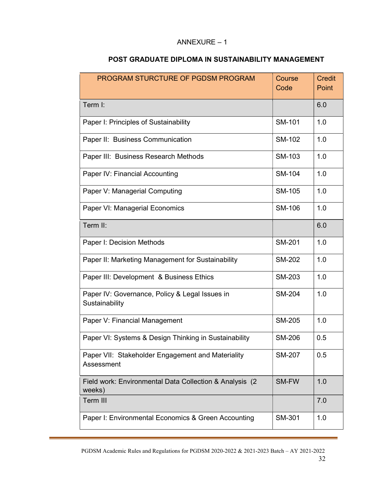## ANNEXURE – 1

| PROGRAM STURCTURE OF PGDSM PROGRAM                                 | Course<br>Code | <b>Credit</b><br>Point |
|--------------------------------------------------------------------|----------------|------------------------|
| Term I:                                                            |                | 6.0                    |
| Paper I: Principles of Sustainability                              | <b>SM-101</b>  | 1.0                    |
| Paper II: Business Communication                                   | <b>SM-102</b>  | 1.0                    |
| Paper III: Business Research Methods                               | SM-103         | 1.0                    |
| Paper IV: Financial Accounting                                     | <b>SM-104</b>  | 1.0                    |
| Paper V: Managerial Computing                                      | <b>SM-105</b>  | 1.0                    |
| Paper VI: Managerial Economics                                     | SM-106         | 1.0                    |
| Term II:                                                           |                | 6.0                    |
| Paper I: Decision Methods                                          | <b>SM-201</b>  | 1.0                    |
| Paper II: Marketing Management for Sustainability                  | <b>SM-202</b>  | 1.0                    |
| Paper III: Development & Business Ethics                           | SM-203         | 1.0                    |
| Paper IV: Governance, Policy & Legal Issues in<br>Sustainability   | <b>SM-204</b>  | 1.0                    |
| Paper V: Financial Management                                      | <b>SM-205</b>  | 1.0                    |
| Paper VI: Systems & Design Thinking in Sustainability              | <b>SM-206</b>  | 0.5                    |
| Paper VII: Stakeholder Engagement and Materiality<br>Assessment    | <b>SM-207</b>  | 0.5                    |
| Field work: Environmental Data Collection & Analysis (2)<br>weeks) | SM-FW          | 1.0                    |
| Term III                                                           |                | 7.0                    |
| Paper I: Environmental Economics & Green Accounting                | SM-301         | 1.0                    |

## POST GRADUATE DIPLOMA IN SUSTAINABILITY MANAGEMENT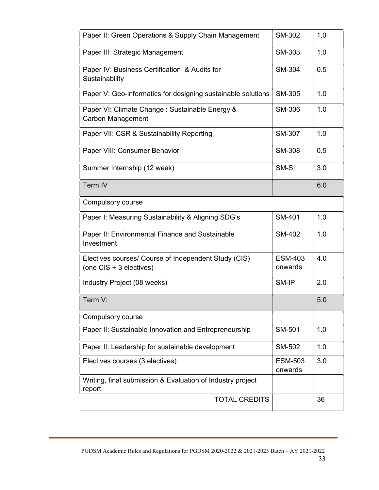| Paper II: Green Operations & Supply Chain Management                            | <b>SM-302</b>             | 1.0 |
|---------------------------------------------------------------------------------|---------------------------|-----|
| Paper III: Strategic Management                                                 | SM-303                    | 1.0 |
| Paper IV: Business Certification & Audits for<br>Sustainability                 | SM-304                    | 0.5 |
| Paper V: Geo-informatics for designing sustainable solutions                    | SM-305                    | 1.0 |
| Paper VI: Climate Change : Sustainable Energy &<br><b>Carbon Management</b>     | SM-306                    | 1.0 |
| Paper VII: CSR & Sustainability Reporting                                       | <b>SM-307</b>             | 1.0 |
| Paper VIII: Consumer Behavior                                                   | <b>SM-308</b>             | 0.5 |
| Summer Internship (12 week)                                                     | SM-SI                     | 3.0 |
| Term IV                                                                         |                           | 6.0 |
| <b>Compulsory course</b>                                                        |                           |     |
| Paper I: Measuring Sustainability & Aligning SDG's                              | <b>SM-401</b>             | 1.0 |
| Paper II: Environmental Finance and Sustainable<br>Investment                   | SM-402                    | 1.0 |
| Electives courses/ Course of Independent Study (CIS)<br>(one CIS + 3 electives) | <b>ESM-403</b><br>onwards | 4.0 |
| Industry Project (08 weeks)                                                     | SM-IP                     | 2.0 |
| Term V:                                                                         |                           | 5.0 |
| Compulsory course                                                               |                           |     |
| Paper II: Sustainable Innovation and Entrepreneurship                           | <b>SM-501</b>             | 1.0 |
| Paper II: Leadership for sustainable development                                | <b>SM-502</b>             | 1.0 |
| Electives courses (3 electives)                                                 | <b>ESM-503</b><br>onwards | 3.0 |
| Writing, final submission & Evaluation of Industry project<br>report            |                           |     |
| <b>TOTAL CREDITS</b>                                                            |                           | 36  |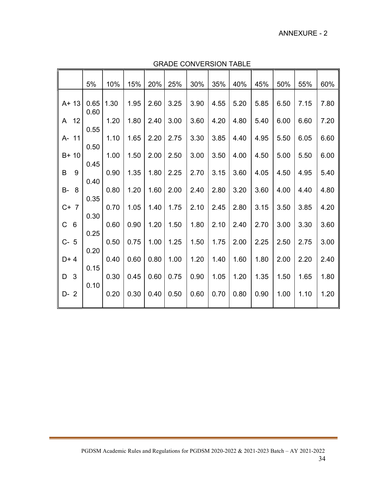#### ANNEXURE - 2

|                                | 5%           | 10%  | 15%  | 20%  | 25%  | 30%  | 35%  | 40%  | 45%  | 50%  | 55%  | 60%  |
|--------------------------------|--------------|------|------|------|------|------|------|------|------|------|------|------|
| $A + 13$                       | 0.65<br>0.60 | 1.30 | 1.95 | 2.60 | 3.25 | 3.90 | 4.55 | 5.20 | 5.85 | 6.50 | 7.15 | 7.80 |
| 12<br>A                        | 0.55         | 1.20 | 1.80 | 2.40 | 3.00 | 3.60 | 4.20 | 4.80 | 5.40 | 6.00 | 6.60 | 7.20 |
| 11<br>А-                       |              | 1.10 | 1.65 | 2.20 | 2.75 | 3.30 | 3.85 | 4.40 | 4.95 | 5.50 | 6.05 | 6.60 |
| $B+10$                         | 0.50         | 1.00 | 1.50 | 2.00 | 2.50 | 3.00 | 3.50 | 4.00 | 4.50 | 5.00 | 5.50 | 6.00 |
| B<br>9                         | 0.45         | 0.90 | 1.35 | 1.80 | 2.25 | 2.70 | 3.15 | 3.60 | 4.05 | 4.50 | 4.95 | 5.40 |
| <b>B-</b><br>8                 | 0.40         | 0.80 | 1.20 | 1.60 | 2.00 | 2.40 | 2.80 | 3.20 | 3.60 | 4.00 | 4.40 | 4.80 |
| $C+$<br>$\overline{7}$         | 0.35         | 0.70 | 1.05 | 1.40 | 1.75 | 2.10 | 2.45 | 2.80 | 3.15 | 3.50 | 3.85 | 4.20 |
| $\mathsf C$<br>$6\phantom{1}6$ | 0.30         | 0.60 | 0.90 | 1.20 | 1.50 | 1.80 | 2.10 | 2.40 | 2.70 | 3.00 | 3.30 | 3.60 |
| $C-$<br>5                      | 0.25         | 0.50 | 0.75 | 1.00 | 1.25 | 1.50 | 1.75 | 2.00 | 2.25 | 2.50 | 2.75 | 3.00 |
| $D+4$                          | 0.20         | 0.40 | 0.60 | 0.80 | 1.00 | 1.20 | 1.40 | 1.60 | 1.80 | 2.00 | 2.20 | 2.40 |
| D<br>3                         | 0.15         | 0.30 | 0.45 | 0.60 | 0.75 | 0.90 | 1.05 | 1.20 | 1.35 | 1.50 | 1.65 | 1.80 |
| $D-2$                          | 0.10         | 0.20 | 0.30 | 0.40 | 0.50 | 0.60 | 0.70 | 0.80 | 0.90 | 1.00 | 1.10 | 1.20 |
|                                |              |      |      |      |      |      |      |      |      |      |      |      |

GRADE CONVERSION TABLE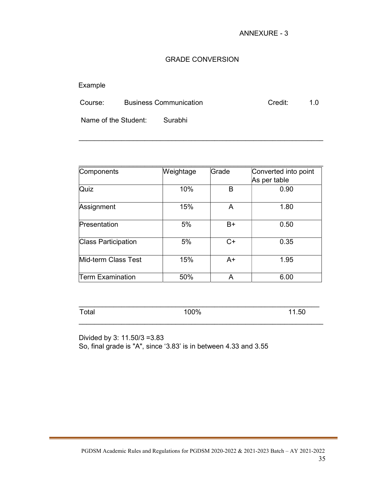## GRADE CONVERSION

## Example

| Course: | <b>Business Communication</b> | Credit: |  |
|---------|-------------------------------|---------|--|
|         |                               |         |  |

 $\_$  , and the set of the set of the set of the set of the set of the set of the set of the set of the set of the set of the set of the set of the set of the set of the set of the set of the set of the set of the set of th

Name of the Student: Surabhi

| Components                 | Weightage | Grade | Converted into point |  |  |  |
|----------------------------|-----------|-------|----------------------|--|--|--|
|                            |           |       | As per table         |  |  |  |
| Quiz                       | 10%       | B     | 0.90                 |  |  |  |
| Assignment                 | 15%       | A     | 1.80                 |  |  |  |
| Presentation               | 5%        | B+    | 0.50                 |  |  |  |
| <b>Class Participation</b> | 5%        | $C+$  | 0.35                 |  |  |  |
| Mid-term Class Test        | 15%       | $A+$  | 1.95                 |  |  |  |
| <b>Term Examination</b>    | 50%       | A     | 6.00                 |  |  |  |

| - - 1 -<br>11 L<br>uu | 0.001<br>7 U | טר |
|-----------------------|--------------|----|

 $\_$  , and the set of the set of the set of the set of the set of the set of the set of the set of the set of the set of the set of the set of the set of the set of the set of the set of the set of the set of the set of th

Divided by 3: 11.50/3 =3.83 So, final grade is "A", since '3.83' is in between 4.33 and 3.55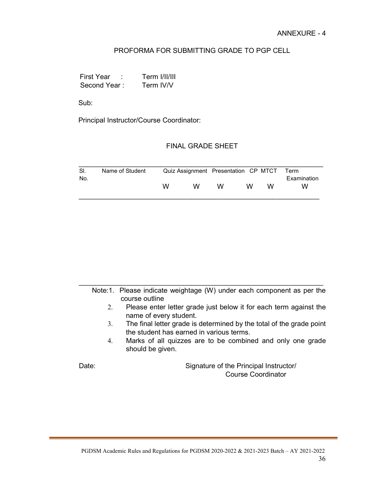## PROFORMA FOR SUBMITTING GRADE TO PGP CELL

 First Year : Term I/II/III Second Year : Term IV/V

Sub:

Principal Instructor/Course Coordinator:

#### FINAL GRADE SHEET

| SI. | Name of Student |   | Quiz Assignment Presentation CP MTCT Term |   |   |   |             |
|-----|-----------------|---|-------------------------------------------|---|---|---|-------------|
| No. |                 |   |                                           |   |   |   | Examination |
|     |                 | w | w                                         | W | w | w | w           |

| Note:1. Please indicate weightage (W) under each component as per the |  |  |  |  |
|-----------------------------------------------------------------------|--|--|--|--|
| course outline                                                        |  |  |  |  |

 $\_$  , and the set of the set of the set of the set of the set of the set of the set of the set of the set of the set of the set of the set of the set of the set of the set of the set of the set of the set of the set of th

- 2. Please enter letter grade just below it for each term against the name of every student.
- 3. The final letter grade is determined by the total of the grade point the student has earned in various terms.
- 4. Marks of all quizzes are to be combined and only one grade should be given.

Date: Case of the Principal Instructor/ Course Coordinator